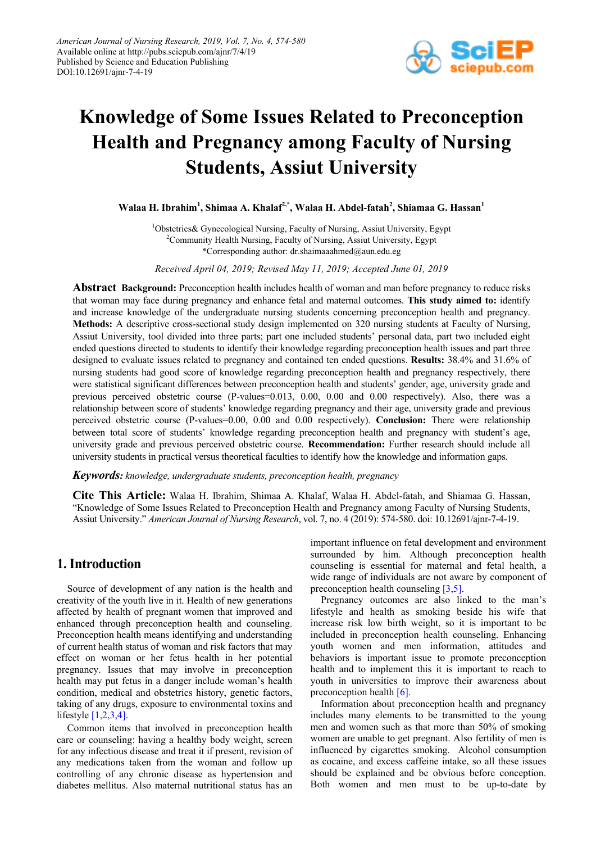

# **Knowledge of Some Issues Related to Preconception Health and Pregnancy among Faculty of Nursing Students, Assiut University**

**Walaa H. Ibrahim1 , Shimaa A. Khalaf2,\* , Walaa H. Abdel-fatah<sup>2</sup> , Shiamaa G. Hassan<sup>1</sup>**

<sup>1</sup>Obstetrics& Gynecological Nursing, Faculty of Nursing, Assiut University, Egypt <sup>2</sup>Community Health Nursing, Faculty of Nursing, Assiut University, Egypt \*Corresponding author: dr.shaimaaahmed@aun.edu.eg

*Received April 04, 2019; Revised May 11, 2019; Accepted June 01, 2019*

**Abstract Background:** Preconception health includes health of woman and man before pregnancy to reduce risks that woman may face during pregnancy and enhance fetal and maternal outcomes. **This study aimed to:** identify and increase knowledge of the undergraduate nursing students concerning preconception health and pregnancy. **Methods:** A descriptive cross-sectional study design implemented on 320 nursing students at Faculty of Nursing, Assiut University, tool divided into three parts; part one included students' personal data, part two included eight ended questions directed to students to identify their knowledge regarding preconception health issues and part three designed to evaluate issues related to pregnancy and contained ten ended questions. **Results:** 38.4% and 31.6% of nursing students had good score of knowledge regarding preconception health and pregnancy respectively, there were statistical significant differences between preconception health and students' gender, age, university grade and previous perceived obstetric course (P-values=0.013, 0.00, 0.00 and 0.00 respectively). Also, there was a relationship between score of students' knowledge regarding pregnancy and their age, university grade and previous perceived obstetric course (P-values=0.00, 0.00 and 0.00 respectively). **Conclusion:** There were relationship between total score of students' knowledge regarding preconception health and pregnancy with student's age, university grade and previous perceived obstetric course. **Recommendation:** Further research should include all university students in practical versus theoretical faculties to identify how the knowledge and information gaps.

*Keywords: knowledge, undergraduate students, preconception health, pregnancy*

**Cite This Article:** Walaa H. Ibrahim, Shimaa A. Khalaf, Walaa H. Abdel-fatah, and Shiamaa G. Hassan, "Knowledge of Some Issues Related to Preconception Health and Pregnancy among Faculty of Nursing Students, Assiut University." *American Journal of Nursing Research*, vol. 7, no. 4 (2019): 574-580. doi: 10.12691/ajnr-7-4-19.

# **1. Introduction**

Source of development of any nation is the health and creativity of the youth live in it. Health of new generations affected by health of pregnant women that improved and enhanced through preconception health and counseling. Preconception health means identifying and understanding of current health status of woman and risk factors that may effect on woman or her fetus health in her potential pregnancy. Issues that may involve in preconception health may put fetus in a danger include woman's health condition, medical and obstetrics history, genetic factors, taking of any drugs, exposure to environmental toxins and lifestyle [\[1,2,3,4\].](#page-5-0)

Common items that involved in preconception health care or counseling: having a healthy body weight, screen for any infectious disease and treat it if present, revision of any medications taken from the woman and follow up controlling of any chronic disease as hypertension and diabetes mellitus. Also maternal nutritional status has an important influence on fetal development and environment surrounded by him. Although preconception health counseling is essential for maternal and fetal health, a wide range of individuals are not aware by component of preconception health counseling [\[3,5\].](#page-5-1)

Pregnancy outcomes are also linked to the man's lifestyle and health as smoking beside his wife that increase risk low birth weight, so it is important to be included in preconception health counseling. Enhancing youth women and men information, attitudes and behaviors is important issue to promote preconception health and to implement this it is important to reach to youth in universities to improve their awareness about preconception health  $[6]$ .

Information about preconception health and pregnancy includes many elements to be transmitted to the young men and women such as that more than 50% of smoking women are unable to get pregnant. Also fertility of men is influenced by cigarettes smoking. Alcohol consumption as cocaine, and excess caffeine intake, so all these issues should be explained and be obvious before conception. Both women and men must to be up-to-date by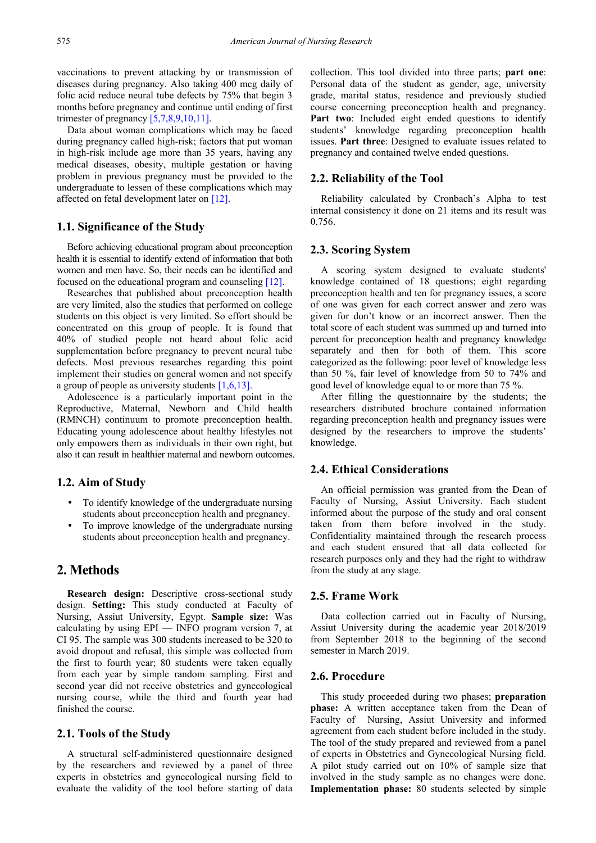vaccinations to prevent attacking by or transmission of diseases during pregnancy. Also taking 400 mcg daily of folic acid reduce neural tube defects by 75% that begin 3 months before pregnancy and continue until ending of first trimester of pregnancy  $[5,7,8,9,10,11]$ .

Data about woman complications which may be faced during pregnancy called high-risk; factors that put woman in high-risk include age more than 35 years, having any medical diseases, obesity, multiple gestation or having problem in previous pregnancy must be provided to the undergraduate to lessen of these complications which may affected on fetal development later on [\[12\].](#page-6-0)

#### **1.1. Significance of the Study**

Before achieving educational program about preconception health it is essential to identify extend of information that both women and men have. So, their needs can be identified and focused on the educational program and counseling [\[12\].](#page-6-0)

Researches that published about preconception health are very limited, also the studies that performed on college students on this object is very limited. So effort should be concentrated on this group of people. It is found that 40% of studied people not heard about folic acid supplementation before pregnancy to prevent neural tube defects. Most previous researches regarding this point implement their studies on general women and not specify a group of people as university students  $[1,6,13]$ .

Adolescence is a particularly important point in the Reproductive, Maternal, Newborn and Child health (RMNCH) continuum to promote preconception health. Educating young adolescence about healthy lifestyles not only empowers them as individuals in their own right, but also it can result in healthier maternal and newborn outcomes.

#### **1.2. Aim of Study**

- To identify knowledge of the undergraduate nursing students about preconception health and pregnancy.
- To improve knowledge of the undergraduate nursing students about preconception health and pregnancy.

## **2. Methods**

**Research design:** Descriptive cross-sectional study design. **Setting:** This study conducted at Faculty of Nursing, Assiut University, Egypt. **Sample size:** Was calculating by using EPI — INFO program version 7, at CI 95. The sample was 300 students increased to be 320 to avoid dropout and refusal, this simple was collected from the first to fourth year; 80 students were taken equally from each year by simple random sampling. First and second year did not receive obstetrics and gynecological nursing course, while the third and fourth year had finished the course.

#### **2.1. Tools of the Study**

A structural self-administered questionnaire designed by the researchers and reviewed by a panel of three experts in obstetrics and gynecological nursing field to evaluate the validity of the tool before starting of data

collection. This tool divided into three parts; **part one**: Personal data of the student as gender, age, university grade, marital status, residence and previously studied course concerning preconception health and pregnancy. Part two: Included eight ended questions to identify students' knowledge regarding preconception health issues. **Part three**: Designed to evaluate issues related to pregnancy and contained twelve ended questions.

#### **2.2. Reliability of the Tool**

Reliability calculated by Cronbach's Alpha to test internal consistency it done on 21 items and its result was 0.756.

#### **2.3. Scoring System**

A scoring system designed to evaluate students' knowledge contained of 18 questions; eight regarding preconception health and ten for pregnancy issues, a score of one was given for each correct answer and zero was given for don't know or an incorrect answer. Then the total score of each student was summed up and turned into percent for preconception health and pregnancy knowledge separately and then for both of them. This score categorized as the following: poor level of knowledge less than 50 %, fair level of knowledge from 50 to 74% and good level of knowledge equal to or more than 75 %.

After filling the questionnaire by the students; the researchers distributed brochure contained information regarding preconception health and pregnancy issues were designed by the researchers to improve the students' knowledge.

#### **2.4. Ethical Considerations**

An official permission was granted from the Dean of Faculty of Nursing, Assiut University. Each student informed about the purpose of the study and oral consent taken from them before involved in the study. Confidentiality maintained through the research process and each student ensured that all data collected for research purposes only and they had the right to withdraw from the study at any stage.

#### **2.5. Frame Work**

Data collection carried out in Faculty of Nursing, Assiut University during the academic year 2018/2019 from September 2018 to the beginning of the second semester in March 2019.

#### **2.6. Procedure**

This study proceeded during two phases; **preparation phase:** A written acceptance taken from the Dean of Faculty of Nursing, Assiut University and informed agreement from each student before included in the study. The tool of the study prepared and reviewed from a panel of experts in Obstetrics and Gynecological Nursing field. A pilot study carried out on 10% of sample size that involved in the study sample as no changes were done. **Implementation phase:** 80 students selected by simple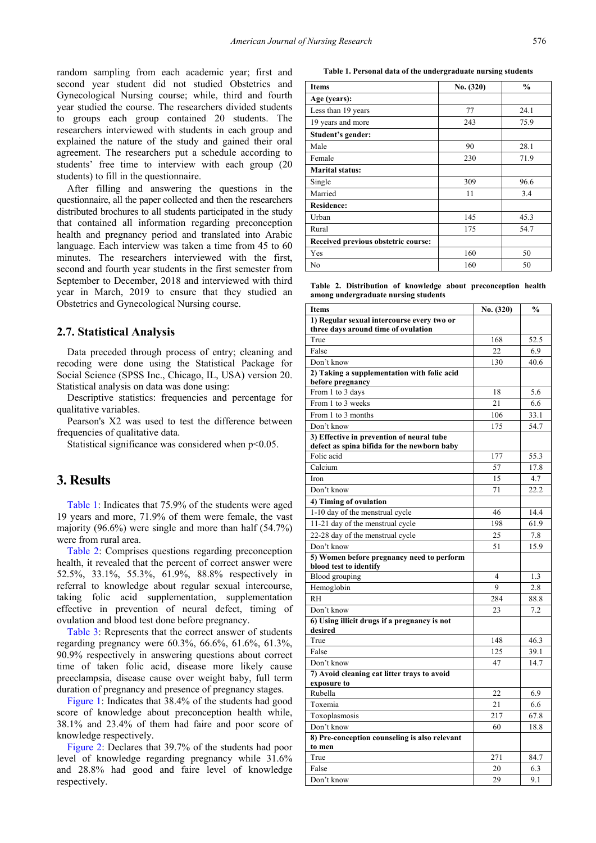random sampling from each academic year; first and second year student did not studied Obstetrics and Gynecological Nursing course; while, third and fourth year studied the course. The researchers divided students to groups each group contained 20 students. The researchers interviewed with students in each group and explained the nature of the study and gained their oral agreement. The researchers put a schedule according to students' free time to interview with each group (20 students) to fill in the questionnaire.

After filling and answering the questions in the questionnaire, all the paper collected and then the researchers distributed brochures to all students participated in the study that contained all information regarding preconception health and pregnancy period and translated into Arabic language. Each interview was taken a time from 45 to 60 minutes. The researchers interviewed with the first, second and fourth year students in the first semester from September to December, 2018 and interviewed with third year in March, 2019 to ensure that they studied an Obstetrics and Gynecological Nursing course.

#### **2.7. Statistical Analysis**

Data preceded through process of entry; cleaning and recoding were done using the Statistical Package for Social Science (SPSS Inc., Chicago, IL, USA) version 20. Statistical analysis on data was done using:

Descriptive statistics: frequencies and percentage for qualitative variables.

Pearson's X2 was used to test the difference between frequencies of qualitative data.

Statistical significance was considered when  $p<0.05$ .

## **3. Results**

[Table 1:](#page-2-0) Indicates that 75.9% of the students were aged 19 years and more, 71.9% of them were female, the vast majority (96.6%) were single and more than half (54.7%) were from rural area.

[Table 2:](#page-2-1) Comprises questions regarding preconception health, it revealed that the percent of correct answer were 52.5%, 33.1%, 55.3%, 61.9%, 88.8% respectively in referral to knowledge about regular sexual intercourse, taking folic acid supplementation, supplementation effective in prevention of neural defect, timing of ovulation and blood test done before pregnancy.

[Table 3:](#page-3-0) Represents that the correct answer of students regarding pregnancy were 60.3%, 66.6%, 61.6%, 61.3%, 90.9% respectively in answering questions about correct time of taken folic acid, disease more likely cause preeclampsia, disease cause over weight baby, full term duration of pregnancy and presence of pregnancy stages.

[Figure 1:](#page-3-1) Indicates that 38.4% of the students had good score of knowledge about preconception health while, 38.1% and 23.4% of them had faire and poor score of knowledge respectively.

[Figure 2:](#page-3-2) Declares that 39.7% of the students had poor level of knowledge regarding pregnancy while 31.6% and 28.8% had good and faire level of knowledge respectively.

**Table 1. Personal data of the undergraduate nursing students**

<span id="page-2-0"></span>

| <b>Items</b>                        | No. (320) | $\frac{0}{0}$ |
|-------------------------------------|-----------|---------------|
| Age (years):                        |           |               |
| Less than 19 years                  | 77        | 24.1          |
| 19 years and more                   | 243       | 75.9          |
| Student's gender:                   |           |               |
| Male                                | 90        | 28.1          |
| Female                              | 230       | 71.9          |
| <b>Marital status:</b>              |           |               |
| Single                              | 309       | 96.6          |
| Married                             | 11        | 3.4           |
| <b>Residence:</b>                   |           |               |
| Urban                               | 145       | 45.3          |
| Rural                               | 175       | 54.7          |
| Received previous obstetric course: |           |               |
| Yes                                 | 160       | 50            |
| No                                  | 160       | 50            |

**Table 2. Distribution of knowledge about preconception health among undergraduate nursing students**

<span id="page-2-1"></span>

| <b>Items</b>                                                        | No. (320) | $\frac{0}{0}$ |
|---------------------------------------------------------------------|-----------|---------------|
| 1) Regular sexual intercourse every two or                          |           |               |
| three days around time of ovulation                                 |           |               |
| True                                                                | 168       | 52.5          |
| False                                                               | 22        | 6.9           |
| Don't know                                                          | 130       | 40.6          |
| 2) Taking a supplementation with folic acid<br>before pregnancy     |           |               |
| From 1 to 3 days                                                    | 18        | 5.6           |
| From 1 to 3 weeks                                                   | 21        | 6.6           |
| From 1 to 3 months                                                  | 106       | 33.1          |
| Don't know                                                          | 175       | 54.7          |
| 3) Effective in prevention of neural tube                           |           |               |
| defect as spina bifida for the newborn baby                         |           |               |
| Folic acid                                                          | 177       | 55.3          |
| Calcium                                                             | 57        | 17.8          |
| Iron                                                                | 15        | 4.7           |
| Don't know                                                          | 71        | 22.2          |
| 4) Timing of ovulation                                              |           |               |
| 1-10 day of the menstrual cycle                                     | 46        | 14.4          |
| 11-21 day of the menstrual cycle                                    | 198       | 61.9          |
| 22-28 day of the menstrual cycle                                    | 25        | 7.8           |
| Don't know                                                          | 51        | 15.9          |
| 5) Women before pregnancy need to perform<br>blood test to identify |           |               |
| Blood grouping                                                      | 4         | 1.3           |
| Hemoglobin                                                          | 9         | 2.8           |
| <b>RH</b>                                                           | 284       | 88.8          |
| Don't know                                                          | 23        | 7.2           |
| 6) Using illicit drugs if a pregnancy is not<br>desired             |           |               |
| True                                                                | 148       | 46.3          |
| False                                                               | 125       | 39.1          |
| Don't know                                                          | 47        | 14.7          |
| 7) Avoid cleaning cat litter trays to avoid                         |           |               |
| exposure to                                                         |           |               |
| Rubella                                                             | 22        | 6.9           |
| Toxemia                                                             | 21        | 6.6           |
| Toxoplasmosis                                                       | 217       | 67.8          |
| Don't know                                                          | 60        | 18.8          |
| 8) Pre-conception counseling is also relevant<br>to men             |           |               |
| True                                                                | 271       | 84.7          |
| False                                                               | 20        | 6.3           |
| Don't know                                                          | 29        | 9.1           |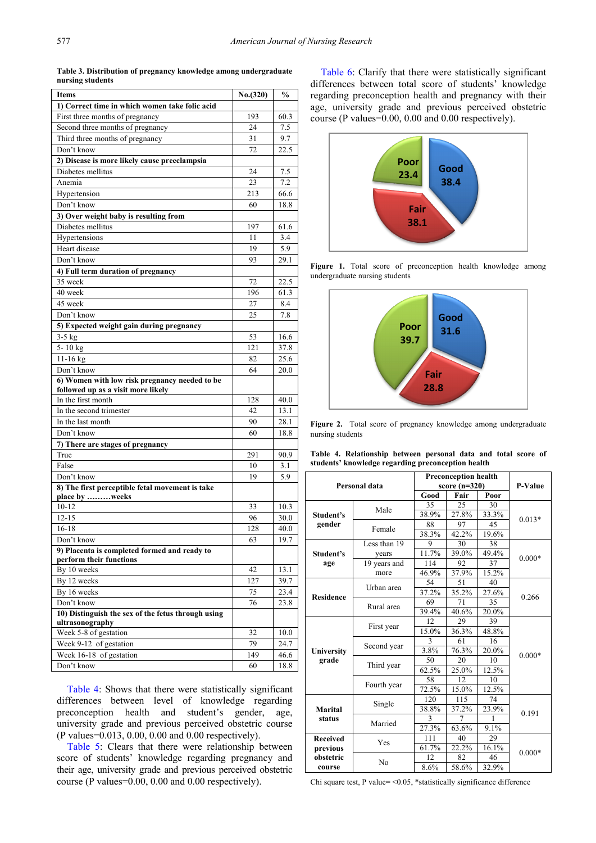**Table 3. Distribution of pregnancy knowledge among undergraduate nursing students**

<span id="page-3-0"></span>

| Items                                                                   | No. (320) | $\frac{0}{0}$ |
|-------------------------------------------------------------------------|-----------|---------------|
| 1) Correct time in which women take folic acid                          |           |               |
| First three months of pregnancy                                         | 193       | 60.3          |
| Second three months of pregnancy                                        | 24        | 7.5           |
| Third three months of pregnancy                                         | 31        | 9.7           |
| Don't know                                                              | 72        | 22.5          |
| 2) Disease is more likely cause preeclampsia                            |           |               |
| Diabetes mellitus                                                       | 24        | 7.5           |
| Anemia                                                                  | 23        | 7.2           |
| Hypertension                                                            | 213       | 66.6          |
| Don't know                                                              | 60        | 18.8          |
| 3) Over weight baby is resulting from                                   |           |               |
| Diabetes mellitus                                                       | 197       | 61.6          |
| Hypertensions                                                           | 11        | 3.4           |
| Heart disease                                                           | 19        | 5.9           |
| Don't know                                                              | 93        | 29.1          |
| 4) Full term duration of pregnancy                                      |           |               |
| 35 week                                                                 | 72        | 22.5          |
| 40 week                                                                 | 196       | 61.3          |
| 45 week                                                                 | 27        | 8.4           |
| Don't know                                                              | 25        | 7.8           |
| 5) Expected weight gain during pregnancy                                |           |               |
| $3-5$ kg                                                                | 53        | 16.6          |
| 5-10 kg                                                                 | 121       | 37.8          |
| 11-16 kg                                                                | 82        | 25.6          |
| Don't know                                                              | 64        | 20.0          |
| 6) Women with low risk pregnancy needed to be                           |           |               |
| followed up as a visit more likely                                      |           |               |
| In the first month                                                      | 128       | 40.0          |
| In the second trimester                                                 | 42        | 13.1          |
| In the last month                                                       | 90        | 28.1          |
| Don't know                                                              | 60        | 18.8          |
| 7) There are stages of pregnancy                                        |           |               |
| True                                                                    | 291       | 90.9          |
| False                                                                   | 10        | 3.1           |
| Don't know                                                              | 19        | 5.9           |
| 8) The first perceptible fetal movement is take                         |           |               |
| place by weeks                                                          |           |               |
| $10 - 12$                                                               | 33        | 10.3          |
| $12 - 15$                                                               | 96        | 30.0          |
| $16 - 18$                                                               | 128       | 40.0          |
| Don't know                                                              | 63        | 19.7          |
| 9) Placenta is completed formed and ready to<br>perform their functions |           |               |
| By 10 weeks                                                             | 42        | 13.1          |
| By 12 weeks                                                             | 127       | 39.7          |
| By 16 weeks                                                             | 75        | 23.4          |
| Don't know                                                              | 76        | 23.8          |
| 10) Distinguish the sex of the fetus through using                      |           |               |
| ultrasonography                                                         |           |               |
| Week 5-8 of gestation                                                   | 32        | 10.0          |
| Week 9-12 of gestation                                                  | 79        | 24.7          |
| Week 16-18 of gestation                                                 | 149       | 46.6          |
| Don't know                                                              | 60        | 18.8          |
|                                                                         |           |               |

[Table 4:](#page-3-3) Shows that there were statistically significant differences between level of knowledge regarding preconception health and student's gender, age, university grade and previous perceived obstetric course (P values=0.013, 0.00, 0.00 and 0.00 respectively).

[Table 5:](#page-4-0) Clears that there were relationship between score of students' knowledge regarding pregnancy and their age, university grade and previous perceived obstetric course (P values=0.00, 0.00 and 0.00 respectively).

[Table 6:](#page-4-1) Clarify that there were statistically significant differences between total score of students<sup>'</sup> knowledge regarding preconception health and pregnancy with their age, university grade and previous perceived obstetric course (P values=0.00, 0.00 and 0.00 respectively).

<span id="page-3-1"></span>

**Figure 1.** Total score of preconception health knowledge among undergraduate nursing students

<span id="page-3-2"></span>

**Figure 2.** Total score of pregnancy knowledge among undergraduate nursing students

**Table 4. Relationship between personal data and total score of students' knowledge regarding preconception health**

<span id="page-3-3"></span>

| Personal data     |              | <b>Preconception health</b> |       |       | P-Value  |
|-------------------|--------------|-----------------------------|-------|-------|----------|
|                   |              | score $(n=320)$             |       |       |          |
|                   | Good         | Fair                        | Poor  |       |          |
|                   | Male         | 35                          | 25    | 30    | $0.013*$ |
| Student's         |              | 38.9%                       | 27.8% | 33.3% |          |
| gender            | Female       | 88                          | 97    | 45    |          |
|                   |              | 38.3%                       | 42.2% | 19.6% |          |
|                   | Less than 19 | 9                           | 30    | 38    |          |
| Student's         | years        | 11.7%                       | 39.0% | 49.4% |          |
| age               | 19 years and | 114                         | 92    | 37    | $0.000*$ |
|                   | more         | 46.9%                       | 37.9% | 15.2% |          |
|                   |              | 54                          | 51    | 40    |          |
|                   | Urban area   | 37.2%                       | 35.2% | 27.6% |          |
| <b>Residence</b>  | Rural area   | 69                          | 71    | 35    | 0.266    |
|                   |              | 39.4%                       | 40.6% | 20.0% |          |
|                   | First year   | 12.                         | 29    | 39    | $0.000*$ |
|                   |              | 15.0%                       | 36.3% | 48.8% |          |
|                   | Second year  | 3                           | 61    | 16    |          |
| University        |              | 3.8%                        | 76.3% | 20.0% |          |
| grade             | Third year   | 50                          | 20    | 10    |          |
|                   |              | 62.5%                       | 25.0% | 12.5% |          |
|                   | Fourth year  | 58                          | 12    | 10    |          |
|                   |              | 72.5%                       | 15.0% | 12.5% |          |
| Marital<br>status |              | 120                         | 115   | 74    | 0.191    |
|                   | Single       | 38.8%                       | 37.2% | 23.9% |          |
|                   | Married      | 3                           | 7     | 1     |          |
|                   |              | 27.3%                       | 63.6% | 9.1%  |          |
| <b>Received</b>   | Yes          | 111                         | 40    | 29    |          |
| previous          |              |                             | 22.2% | 16.1% | $0.000*$ |
| obstetric         | No           | 12                          | 82    | 46    |          |
| course            |              | 8.6%                        | 58.6% | 32.9% |          |

Chi square test, P value= <0.05, \*statistically significance difference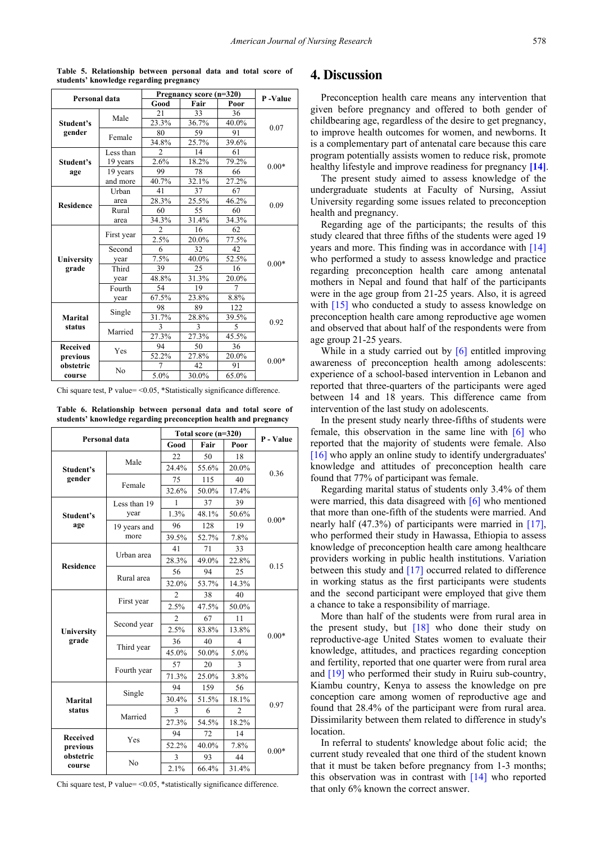<span id="page-4-0"></span>

| Personal data     |                | Pregnancy score (n=320) | P-Value       |                |         |
|-------------------|----------------|-------------------------|---------------|----------------|---------|
|                   |                | Good                    | Fair          | Poor           |         |
| Student's         | Male           | 21                      | 33            | 36             |         |
|                   |                | 23.3%                   | 36.7%         | 40.0%          | 0.07    |
| gender            |                | 80                      | 59            | 91             |         |
|                   | Female         | 34.8%                   | 25.7%         | 39.6%          |         |
|                   | Less than      | $\overline{c}$          | 14            | 61             |         |
| Student's         | 19 years       | 2.6%                    | 18.2%         | 79.2%          |         |
| age               | 19 years       | 99                      | 78            | 66             | $0.00*$ |
|                   | and more       | 40.7%                   | 32.1%         | 27.2%          |         |
|                   | Urban          | 41                      | 37            | 67             |         |
|                   | area           | 28.3%                   | 25.5%         | 46.2%          |         |
| <b>Residence</b>  | Rural          | 60                      | 55            | 60             | 0.09    |
|                   | area           | 34.3%                   | 31.4%         | 34.3%          |         |
|                   |                | $\overline{c}$          | 16            | 62             |         |
|                   | First year     | 2.5%                    | 20.0%         | 77.5%          |         |
|                   | Second         | 6                       | 32            | 42             |         |
| University        | year           | 7.5%                    | 40.0%         | 52.5%          |         |
| grade             | Third          | 39                      | 25            | 16             | $0.00*$ |
|                   | year           | 48.8%                   | 31.3%         | 20.0%          |         |
|                   | Fourth         | 54                      | 19            | 7              |         |
|                   | year           | 67.5%                   | 23.8%         | 8.8%           |         |
|                   |                | 98                      | 89            | 122            | 0.92    |
| Marital<br>status | Single         | 31.7%                   | 28.8%         | 39.5%          |         |
|                   | Married        | 3                       | $\mathcal{E}$ | $\overline{5}$ |         |
|                   |                | 27.3%                   | 27.3%         | 45.5%          |         |
| <b>Received</b>   | Yes            | 94                      | 50            | 36             |         |
| previous          |                | 52.2%                   | 27.8%         | 20.0%          | $0.00*$ |
| obstetric         | N <sub>0</sub> | 7                       | 42            | 91             |         |
| course            |                | 5.0%                    | 30.0%         | 65.0%          |         |

**Table 5. Relationship between personal data and total score of students' knowledge regarding pregnancy**

Chi square test, P value= <0.05, \*Statistically significance difference.

**Table 6. Relationship between personal data and total score of students' knowledge regarding preconception health and pregnancy**

<span id="page-4-1"></span>

| Personal data                                      |                      | Total score (n=320) |       |                |           |
|----------------------------------------------------|----------------------|---------------------|-------|----------------|-----------|
|                                                    |                      | Good                | Fair  | Poor           | P - Value |
| Student's                                          | Male                 | 22                  | 50    | 18             |           |
|                                                    |                      | 24.4%               | 55.6% | 20.0%          | 0.36      |
| gender                                             | Female               | 75                  | 115   | 40             |           |
|                                                    |                      | 32.6%               | 50.0% | 17.4%          |           |
|                                                    | Less than 19<br>year | 1                   | 37    | 39             |           |
| Student's                                          |                      | 1.3%                | 48.1% | 50.6%          | $0.00*$   |
| age                                                | 19 years and         | 96                  | 128   | 19             |           |
|                                                    | more                 | 39.5%               | 52.7% | 7.8%           |           |
|                                                    | Urban area           | 41                  | 71    | 33             |           |
| <b>Residence</b>                                   |                      | 28.3%               | 49.0% | 22.8%          | 0.15      |
|                                                    | Rural area           | 56                  | 94    | 25             |           |
|                                                    |                      | 32.0%               | 53.7% | 14.3%          |           |
|                                                    | First year           | $\overline{2}$      | 38    | 40             |           |
|                                                    |                      | 2.5%                | 47.5% | 50.0%          |           |
|                                                    | Second year          | $\overline{c}$      | 67    | 11             |           |
| University                                         |                      | 2.5%                | 83.8% | 13.8%          | $0.00*$   |
| grade                                              | Third year           | 36                  | 40    | 4              |           |
|                                                    |                      | 45.0%               | 50.0% | 5.0%           |           |
|                                                    | Fourth year          | 57                  | 20    | 3              |           |
|                                                    |                      | 71.3%               | 25.0% | 3.8%           |           |
| Marital<br>status                                  | Single               | 94                  | 159   | 56             | 0.97      |
|                                                    |                      | 30.4%               | 51.5% | 18.1%          |           |
|                                                    | Married              | 3                   | 6     | $\overline{2}$ |           |
|                                                    |                      | 27.3%               | 54.5% | 18.2%          |           |
| <b>Received</b><br>previous<br>obstetric<br>course | Yes                  | 94                  | 72    | 14             |           |
|                                                    |                      | 52.2%               | 40.0% | 7.8%           | $0.00*$   |
|                                                    | N <sub>0</sub>       | 3                   | 93    | 44             |           |
|                                                    |                      | 2.1%                | 66.4% | 31.4%          |           |

Chi square test, P value=  $\leq 0.05$ , \*statistically significance difference.

## **4. Discussion**

Preconception health care means any intervention that given before pregnancy and offered to both gender of childbearing age, regardless of the desire to get pregnancy, to improve health outcomes for women, and newborns. It is a complementary part of antenatal care because this care program potentially assists women to reduce risk, promote healthy lifestyle and improve readiness for pregnancy **[\[14\]](#page-6-1)**.

The present study aimed to assess knowledge of the undergraduate students at Faculty of Nursing, Assiut University regarding some issues related to preconception health and pregnancy.

Regarding age of the participants; the results of this study cleared that three fifths of the students were aged 19 years and more. This finding was in accordance with [\[14\]](#page-6-1) who performed a study to assess knowledge and practice regarding preconception health care among antenatal mothers in Nepal and found that half of the participants were in the age group from 21-25 years. Also, it is agreed with [\[15\]](#page-6-2) who conducted a study to assess knowledge on preconception health care among reproductive age women and observed that about half of the respondents were from age group 21-25 years.

While in a study carried out by [\[6\]](#page-5-2) entitled improving awareness of preconception health among adolescents: experience of a school-based intervention in Lebanon and reported that three-quarters of the participants were aged between 14 and 18 years. This difference came from intervention of the last study on adolescents.

In the present study nearly three-fifths of students were female, this observation in the same line with  $\lceil 6 \rceil$  who reported that the majority of students were female. Also [\[16\]](#page-6-3) who apply an online study to identify undergraduates' knowledge and attitudes of preconception health care found that 77% of participant was female.

Regarding marital status of students only 3.4% of them were married, this data disagreed with [\[6\]](#page-5-2) who mentioned that more than one-fifth of the students were married. And nearly half (47.3%) of participants were married in [\[17\],](#page-6-4) who performed their study in Hawassa, Ethiopia to assess knowledge of preconception health care among healthcare providers working in public health institutions. Variation between this study and [\[17\]](#page-6-4) occurred related to difference in working status as the first participants were students and the second participant were employed that give them a chance to take a responsibility of marriage.

More than half of the students were from rural area in the present study, but [\[18\]](#page-6-5) who done their study on reproductive-age United States women to evaluate their knowledge, attitudes, and practices regarding conception and fertility, reported that one quarter were from rural area and [\[19\]](#page-6-6) who performed their study in Ruiru sub-country, Kiambu country, Kenya to assess the knowledge on pre conception care among women of reproductive age and found that 28.4% of the participant were from rural area. Dissimilarity between them related to difference in study's location.

In referral to students' knowledge about folic acid; the current study revealed that one third of the student known that it must be taken before pregnancy from 1-3 months; this observation was in contrast with [\[14\]](#page-6-1) who reported that only 6% known the correct answer.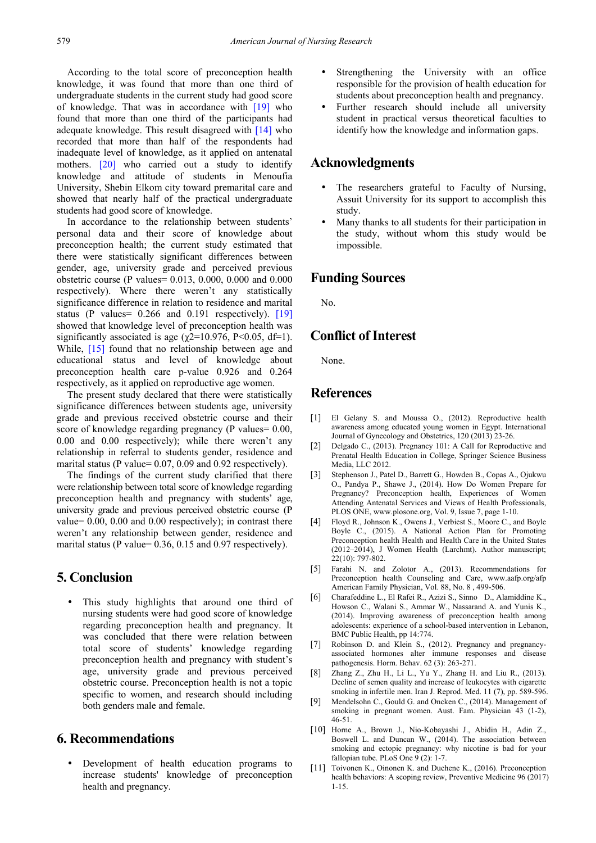According to the total score of preconception health knowledge, it was found that more than one third of undergraduate students in the current study had good score of knowledge. That was in accordance with [\[19\]](#page-6-6) who found that more than one third of the participants had adequate knowledge. This result disagreed with [\[14\]](#page-6-1) who recorded that more than half of the respondents had inadequate level of knowledge, as it applied on antenatal mothers. [\[20\]](#page-6-7) who carried out a study to identify knowledge and attitude of students in Menoufia University, Shebin Elkom city toward premarital care and showed that nearly half of the practical undergraduate students had good score of knowledge.

In accordance to the relationship between students' personal data and their score of knowledge about preconception health; the current study estimated that there were statistically significant differences between gender, age, university grade and perceived previous obstetric course (P values= 0.013, 0.000, 0.000 and 0.000 respectively). Where there weren't any statistically significance difference in relation to residence and marital status (P values = 0.266 and 0.191 respectively). [\[19\]](#page-6-6) showed that knowledge level of preconception health was significantly associated is age ( $\gamma$ 2=10.976, P<0.05, df=1). While, [\[15\]](#page-6-2) found that no relationship between age and educational status and level of knowledge about preconception health care p-value 0.926 and 0.264 respectively, as it applied on reproductive age women.

The present study declared that there were statistically significance differences between students age, university grade and previous received obstetric course and their score of knowledge regarding pregnancy (P values= 0.00, 0.00 and 0.00 respectively); while there weren't any relationship in referral to students gender, residence and marital status (P value= 0.07, 0.09 and 0.92 respectively).

The findings of the current study clarified that there were relationship between total score of knowledge regarding preconception health and pregnancy with students' age, university grade and previous perceived obstetric course (P value= 0.00, 0.00 and 0.00 respectively); in contrast there weren't any relationship between gender, residence and marital status (P value= 0.36, 0.15 and 0.97 respectively).

# **5. Conclusion**

 This study highlights that around one third of nursing students were had good score of knowledge regarding preconception health and pregnancy. It was concluded that there were relation between total score of students' knowledge regarding preconception health and pregnancy with student's age, university grade and previous perceived obstetric course. Preconception health is not a topic specific to women, and research should including both genders male and female.

## **6. Recommendations**

 Development of health education programs to increase students' knowledge of preconception health and pregnancy.

- Strengthening the University with an office responsible for the provision of health education for students about preconception health and pregnancy.
- Further research should include all university student in practical versus theoretical faculties to identify how the knowledge and information gaps.

## **Acknowledgments**

- The researchers grateful to Faculty of Nursing, Assuit University for its support to accomplish this study.
- Many thanks to all students for their participation in the study, without whom this study would be impossible.

#### **Funding Sources**

No.

# **Conflict of Interest**

None.

## **References**

- <span id="page-5-0"></span>[1] El Gelany S. and Moussa O., (2012). Reproductive health awareness among educated young women in Egypt. International Journal of Gynecology and Obstetrics, 120 (2013) 23-26.
- [2] Delgado C., (2013). Pregnancy 101: A Call for Reproductive and Prenatal Health Education in College, Springer Science Business Media, LLC 2012.
- <span id="page-5-1"></span>[3] Stephenson J., Patel D., Barrett G., Howden B., Copas A., Ojukwu O., Pandya P., Shawe J., (2014). How Do Women Prepare for Pregnancy? Preconception health, Experiences of Women Attending Antenatal Services and Views of Health Professionals, PLOS ONE, www.plosone.org, Vol. 9, Issue 7, page 1-10.
- [4] Floyd R., Johnson K., Owens J., Verbiest S., Moore C., and Boyle Boyle C., (2015). A National Action Plan for Promoting Preconception health Health and Health Care in the United States (2012–2014), J Women Health (Larchmt). Author manuscript; 22(10): 797-802.
- <span id="page-5-3"></span>[5] Farahi N. and Zolotor A., (2013). Recommendations for Preconception health Counseling and Care, www.aafp.org/afp American Family Physician, Vol. 88, No. 8 , 499-506.
- <span id="page-5-2"></span>[6] Charafeddine L., El Rafei R., Azizi S., Sinno D., Alamiddine K., Howson C., Walani S., Ammar W., Nassarand A. and Yunis K., (2014). Improving awareness of preconception health among adolescents: experience of a school-based intervention in Lebanon, BMC Public Health, pp 14:774.
- [7] Robinson D. and Klein S., (2012). Pregnancy and pregnancyassociated hormones alter immune responses and disease pathogenesis. Horm. Behav. 62 (3): 263-271.
- [8] Zhang Z., Zhu H., Li L., Yu Y., Zhang H. and Liu R., (2013). Decline of semen quality and increase of leukocytes with cigarette smoking in infertile men. Iran J. Reprod. Med. 11 (7), pp. 589-596.
- [9] Mendelsohn C., Gould G. and Oncken C., (2014). Management of smoking in pregnant women. Aust. Fam. Physician 43 (1-2), 46-51.
- [10] Horne A., Brown J., Nio-Kobayashi J., Abidin H., Adin Z., Boswell L. and Duncan W., (2014). The association between smoking and ectopic pregnancy: why nicotine is bad for your fallopian tube. PLoS One 9 (2): 1-7.
- [11] Toivonen K., Oinonen K. and Duchene K., (2016). Preconception health behaviors: A scoping review, Preventive Medicine 96 (2017) 1-15.